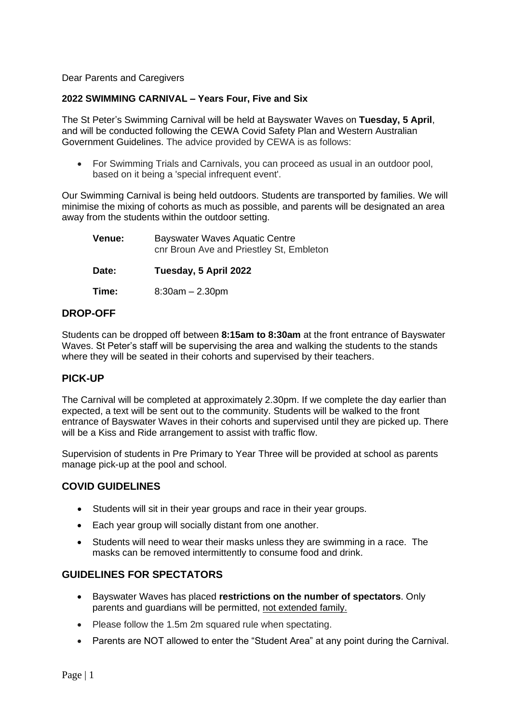Dear Parents and Caregivers

### **2022 SWIMMING CARNIVAL – Years Four, Five and Six**

The St Peter's Swimming Carnival will be held at Bayswater Waves on **Tuesday, 5 April**, and will be conducted following the CEWA Covid Safety Plan and Western Australian Government Guidelines. The advice provided by CEWA is as follows:

• For Swimming Trials and Carnivals, you can proceed as usual in an outdoor pool, based on it being a 'special infrequent event'.

Our Swimming Carnival is being held outdoors. Students are transported by families. We will minimise the mixing of cohorts as much as possible, and parents will be designated an area away from the students within the outdoor setting.

| Venue: | <b>Bayswater Waves Aquatic Centre</b><br>cnr Broun Ave and Priestley St, Embleton |
|--------|-----------------------------------------------------------------------------------|
| Date:  | Tuesday, 5 April 2022                                                             |
| Time:  | $8:30am - 2.30pm$                                                                 |

### **DROP-OFF**

Students can be dropped off between **8:15am to 8:30am** at the front entrance of Bayswater Waves. St Peter's staff will be supervising the area and walking the students to the stands where they will be seated in their cohorts and supervised by their teachers.

# **PICK-UP**

The Carnival will be completed at approximately 2.30pm. If we complete the day earlier than expected, a text will be sent out to the community. Students will be walked to the front entrance of Bayswater Waves in their cohorts and supervised until they are picked up. There will be a Kiss and Ride arrangement to assist with traffic flow.

Supervision of students in Pre Primary to Year Three will be provided at school as parents manage pick-up at the pool and school.

### **COVID GUIDELINES**

- Students will sit in their year groups and race in their year groups.
- Each year group will socially distant from one another.
- Students will need to wear their masks unless they are swimming in a race. The masks can be removed intermittently to consume food and drink.

# **GUIDELINES FOR SPECTATORS**

- Bayswater Waves has placed **restrictions on the number of spectators**. Only parents and guardians will be permitted, not extended family.
- Please follow the 1.5m 2m squared rule when spectating.
- Parents are NOT allowed to enter the "Student Area" at any point during the Carnival.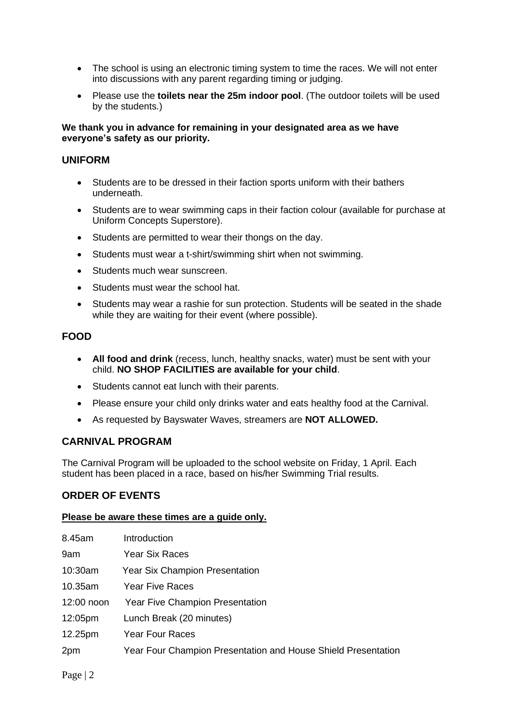- The school is using an electronic timing system to time the races. We will not enter into discussions with any parent regarding timing or judging.
- Please use the **toilets near the 25m indoor pool**. (The outdoor toilets will be used by the students.)

### **We thank you in advance for remaining in your designated area as we have everyone's safety as our priority.**

### **UNIFORM**

- Students are to be dressed in their faction sports uniform with their bathers underneath.
- Students are to wear swimming caps in their faction colour (available for purchase at Uniform Concepts Superstore).
- Students are permitted to wear their thongs on the day.
- Students must wear a t-shirt/swimming shirt when not swimming.
- Students much wear sunscreen.
- Students must wear the school hat.
- Students may wear a rashie for sun protection. Students will be seated in the shade while they are waiting for their event (where possible).

# **FOOD**

- **All food and drink** (recess, lunch, healthy snacks, water) must be sent with your child. **NO SHOP FACILITIES are available for your child**.
- Students cannot eat lunch with their parents.
- Please ensure your child only drinks water and eats healthy food at the Carnival.
- As requested by Bayswater Waves, streamers are **NOT ALLOWED.**

# **CARNIVAL PROGRAM**

The Carnival Program will be uploaded to the school website on Friday, 1 April. Each student has been placed in a race, based on his/her Swimming Trial results.

# **ORDER OF EVENTS**

### **Please be aware these times are a guide only.**

| 8.45am     | Introduction                                                  |
|------------|---------------------------------------------------------------|
| 9am        | <b>Year Six Races</b>                                         |
| 10:30am    | <b>Year Six Champion Presentation</b>                         |
| 10.35am    | <b>Year Five Races</b>                                        |
| 12:00 noon | <b>Year Five Champion Presentation</b>                        |
| 12:05pm    | Lunch Break (20 minutes)                                      |
| 12.25pm    | <b>Year Four Races</b>                                        |
| 2pm        | Year Four Champion Presentation and House Shield Presentation |
|            |                                                               |

Page | 2